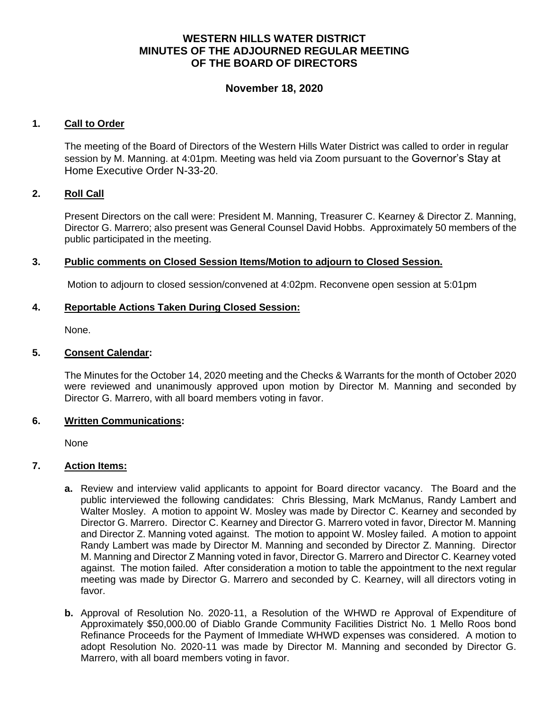## **WESTERN HILLS WATER DISTRICT MINUTES OF THE ADJOURNED REGULAR MEETING OF THE BOARD OF DIRECTORS**

## **November 18, 2020**

### **1. Call to Order**

The meeting of the Board of Directors of the Western Hills Water District was called to order in regular session by M. Manning. at 4:01pm. Meeting was held via Zoom pursuant to the Governor's Stay at Home Executive Order N-33-20.

### **2. Roll Call**

Present Directors on the call were: President M. Manning, Treasurer C. Kearney & Director Z. Manning, Director G. Marrero; also present was General Counsel David Hobbs. Approximately 50 members of the public participated in the meeting.

### **3. Public comments on Closed Session Items/Motion to adjourn to Closed Session.**

Motion to adjourn to closed session/convened at 4:02pm. Reconvene open session at 5:01pm

### **4. Reportable Actions Taken During Closed Session:**

None.

### **5. Consent Calendar:**

The Minutes for the October 14, 2020 meeting and the Checks & Warrants for the month of October 2020 were reviewed and unanimously approved upon motion by Director M. Manning and seconded by Director G. Marrero, with all board members voting in favor.

#### **6. Written Communications:**

None

## **7. Action Items:**

- **a.** Review and interview valid applicants to appoint for Board director vacancy. The Board and the public interviewed the following candidates: Chris Blessing, Mark McManus, Randy Lambert and Walter Mosley. A motion to appoint W. Mosley was made by Director C. Kearney and seconded by Director G. Marrero. Director C. Kearney and Director G. Marrero voted in favor, Director M. Manning and Director Z. Manning voted against. The motion to appoint W. Mosley failed. A motion to appoint Randy Lambert was made by Director M. Manning and seconded by Director Z. Manning. Director M. Manning and Director Z Manning voted in favor, Director G. Marrero and Director C. Kearney voted against. The motion failed. After consideration a motion to table the appointment to the next regular meeting was made by Director G. Marrero and seconded by C. Kearney, will all directors voting in favor.
- **b.** Approval of Resolution No. 2020-11, a Resolution of the WHWD re Approval of Expenditure of Approximately \$50,000.00 of Diablo Grande Community Facilities District No. 1 Mello Roos bond Refinance Proceeds for the Payment of Immediate WHWD expenses was considered. A motion to adopt Resolution No. 2020-11 was made by Director M. Manning and seconded by Director G. Marrero, with all board members voting in favor.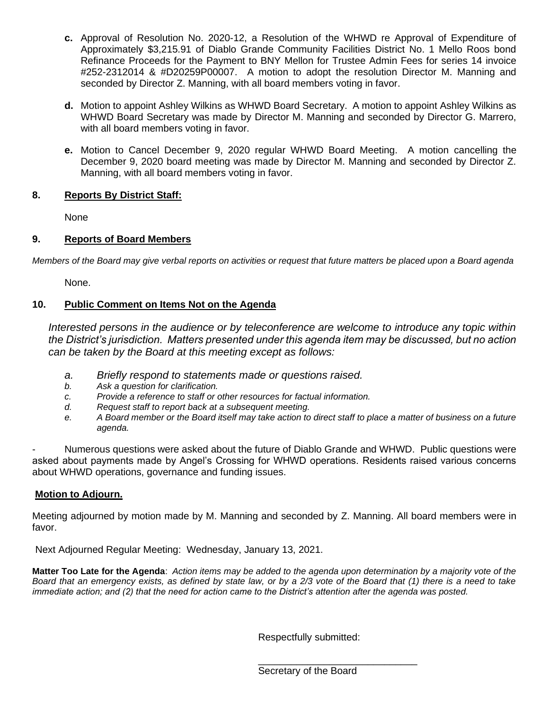- **c.** Approval of Resolution No. 2020-12, a Resolution of the WHWD re Approval of Expenditure of Approximately \$3,215.91 of Diablo Grande Community Facilities District No. 1 Mello Roos bond Refinance Proceeds for the Payment to BNY Mellon for Trustee Admin Fees for series 14 invoice #252-2312014 & #D20259P00007. A motion to adopt the resolution Director M. Manning and seconded by Director Z. Manning, with all board members voting in favor.
- **d.** Motion to appoint Ashley Wilkins as WHWD Board Secretary. A motion to appoint Ashley Wilkins as WHWD Board Secretary was made by Director M. Manning and seconded by Director G. Marrero, with all board members voting in favor.
- **e.** Motion to Cancel December 9, 2020 regular WHWD Board Meeting. A motion cancelling the December 9, 2020 board meeting was made by Director M. Manning and seconded by Director Z. Manning, with all board members voting in favor.

## **8. Reports By District Staff:**

None

# **9. Reports of Board Members**

*Members of the Board may give verbal reports on activities or request that future matters be placed upon a Board agenda*

None.

## **10. Public Comment on Items Not on the Agenda**

*Interested persons in the audience or by teleconference are welcome to introduce any topic within the District's jurisdiction. Matters presented under this agenda item may be discussed, but no action can be taken by the Board at this meeting except as follows:*

- *a. Briefly respond to statements made or questions raised.*
- *b. Ask a question for clarification.*
- *c. Provide a reference to staff or other resources for factual information.*
- *d. Request staff to report back at a subsequent meeting.*
- *e. A Board member or the Board itself may take action to direct staff to place a matter of business on a future agenda.*

- Numerous questions were asked about the future of Diablo Grande and WHWD. Public questions were asked about payments made by Angel's Crossing for WHWD operations. Residents raised various concerns about WHWD operations, governance and funding issues.

# **Motion to Adjourn.**

Meeting adjourned by motion made by M. Manning and seconded by Z. Manning. All board members were in favor.

Next Adjourned Regular Meeting: Wednesday, January 13, 2021.

**Matter Too Late for the Agenda**: *Action items may be added to the agenda upon determination by a majority vote of the Board that an emergency exists, as defined by state law, or by a 2/3 vote of the Board that (1) there is a need to take immediate action; and (2) that the need for action came to the District's attention after the agenda was posted.*

Respectfully submitted:

Secretary of the Board

\_\_\_\_\_\_\_\_\_\_\_\_\_\_\_\_\_\_\_\_\_\_\_\_\_\_\_\_\_